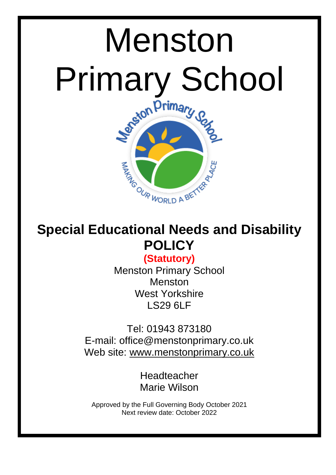

# **Special Educational Needs and Disability POLICY**

# **(Statutory)**

Menston Primary School Menston West Yorkshire LS29 6LF

Tel: 01943 873180 E-mail: office@menstonprimary.co.uk Web site: [www.menstonprimary.co.uk](http://www.menston.ngfl.ac.uk/)

> Headteacher Marie Wilson

Approved by the Full Governing Body October 2021 Next review date: October 2022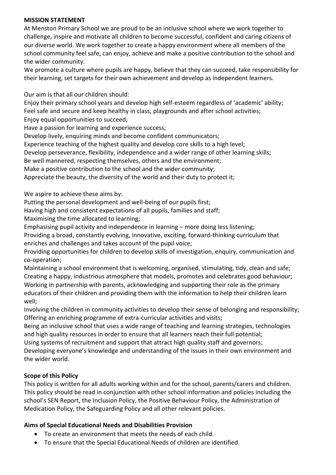## **MISSION STATEMENT**

At Menston Primary School we are proud to be an inclusive school where we work together to challenge, inspire and motivate all children to become successful, confident and caring citizens of our diverse world. We work together to create a happy environment where all members of the school community feel safe, can enjoy, achieve and make a positive contribution to the school and the wider community.

We promote a culture where pupils are happy, believe that they can succeed, take responsibility for their learning, set targets for their own achievement and develop as independent learners.

Our aim is that all our children should:

Enjoy their primary school years and develop high self-esteem regardless of 'academic' ability; Feel safe and secure and keep healthy in class, playgrounds and after school activities; Enjoy equal opportunities to succeed;

Have a passion for learning and experience success;

Develop lively, enquiring minds and become confident communicators;

Experience teaching of the highest quality and develop core skills to a high level;

Develop perseverance, flexibility, independence and a wider range of other learning skills;

Be well mannered, respecting themselves, others and the environment;

Make a positive contribution to the school and the wider community;

Appreciate the beauty, the diversity of the world and their duty to protect it;

We aspire to achieve these aims by:

Putting the personal development and well-being of our pupils first;

Having high and consistent expectations of all pupils, families and staff;

Maximising the time allocated to learning;

Emphasising pupil activity and independence in learning – more doing less listening;

Providing a broad, constantly evolving, innovative, exciting, forward-thinking curriculum that enriches and challenges and takes account of the pupil voice;

Providing opportunities for children to develop skills of investigation, enquiry, communication and co-operation;

Maintaining a school environment that is welcoming, organised, stimulating, tidy, clean and safe; Creating a happy, industrious atmosphere that models, promotes and celebrates good behaviour; Working in partnership with parents, acknowledging and supporting their role as the primary educators of their children and providing them with the information to help their children learn well;

Involving the children in community activities to develop their sense of belonging and responsibility; Offering an enriching programme of extra-curricular activities and visits;

Being an inclusive school that uses a wide range of teaching and learning strategies, technologies and high quality resources in order to ensure that all learners reach their full potential;

Using systems of recruitment and support that attract high quality staff and governors;

Developing everyone's knowledge and understanding of the issues in their own environment and the wider world.

# **Scope of this Policy**

This policy is written for all adults working within and for the school, parents/carers and children. This policy should be read in conjunction with other school information and policies including the school's SEN Report, the Inclusion Policy, the Positive Behaviour Policy, the Administration of Medication Policy, the Safeguarding Policy and all other relevant policies.

# **Aims of Special Educational Needs and Disabilities Provision**

- To create an environment that meets the needs of each child.
- To ensure that the Special Educational Needs of children are identified.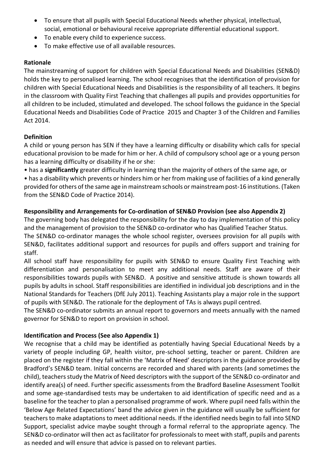- To ensure that all pupils with Special Educational Needs whether physical, intellectual, social, emotional or behavioural receive appropriate differential educational support.
- To enable every child to experience success.
- To make effective use of all available resources.

# **Rationale**

The mainstreaming of support for children with Special Educational Needs and Disabilities (SEN&D) holds the key to personalised learning. The school recognises that the identification of provision for children with Special Educational Needs and Disabilities is the responsibility of all teachers. It begins in the classroom with Quality First Teaching that challenges all pupils and provides opportunities for all children to be included, stimulated and developed. The school follows the guidance in the Special Educational Needs and Disabilities Code of Practice 2015 and Chapter 3 of the Children and Families Act 2014.

# **Definition**

A child or young person has SEN if they have a learning difficulty or disability which calls for special educational provision to be made for him or her. A child of compulsory school age or a young person has a learning difficulty or disability if he or she:

• has a **significantly** greater difficulty in learning than the majority of others of the same age, or

• has a disability which prevents or hinders him or her from making use of facilities of a kind generally provided for others of the same age in mainstream schools or mainstream post-16 institutions. (Taken from the SEN&D Code of Practice 2014).

# **Responsibility and Arrangements for Co-ordination of SEN&D Provision (see also Appendix 2)**

The governing body has delegated the responsibility for the day to day implementation of this policy and the management of provision to the SEN&D co-ordinator who has Qualified Teacher Status. The SEN&D co-ordinator manages the whole school register, oversees provision for all pupils with SEN&D, facilitates additional support and resources for pupils and offers support and training for staff.

All school staff have responsibility for pupils with SEN&D to ensure Quality First Teaching with differentiation and personalisation to meet any additional needs. Staff are aware of their responsibilities towards pupils with SEN&D. A positive and sensitive attitude is shown towards all pupils by adults in school. Staff responsibilities are identified in individual job descriptions and in the National Standards for Teachers (DfE July 2011). Teaching Assistants play a major role in the support of pupils with SEN&D. The rationale for the deployment of TAs is always pupil centred.

The SEN&D co-ordinator submits an annual report to governors and meets annually with the named governor for SEN&D to report on provision in school.

# **Identification and Process (See also Appendix 1)**

We recognise that a child may be identified as potentially having Special Educational Needs by a variety of people including GP, health visitor, pre-school setting, teacher or parent. Children are placed on the register if they fall within the 'Matrix of Need' descriptors in the guidance provided by Bradford's SEN&D team. Initial concerns are recorded and shared with parents (and sometimes the child), teachers study the Matrix of Need descriptors with the support of the SEN&D co-ordinator and identify area(s) of need. Further specific assessments from the Bradford Baseline Assessment Toolkit and some age-standardised tests may be undertaken to aid identification of specific need and as a baseline for the teacher to plan a personalised programme of work. Where pupil need falls within the 'Below Age Related Expectations' band the advice given in the guidance will usually be sufficient for teachers to make adaptations to meet additional needs. If the identified needs begin to fall into SEND Support, specialist advice maybe sought through a formal referral to the appropriate agency. The SEN&D co-ordinator will then act as facilitator for professionals to meet with staff, pupils and parents as needed and will ensure that advice is passed on to relevant parties.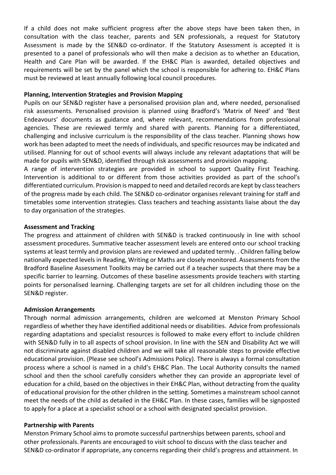If a child does not make sufficient progress after the above steps have been taken then, in consultation with the class teacher, parents and SEN professionals, a request for Statutory Assessment is made by the SEN&D co-ordinator. If the Statutory Assessment is accepted it is presented to a panel of professionals who will then make a decision as to whether an Education, Health and Care Plan will be awarded. If the EH&C Plan is awarded, detailed objectives and requirements will be set by the panel which the school is responsible for adhering to. EH&C Plans must be reviewed at least annually following local council procedures.

#### **Planning, Intervention Strategies and Provision Mapping**

Pupils on our SEN&D register have a personalised provision plan and, where needed, personalised risk assessments. Personalised provision is planned using Bradford's 'Matrix of Need' and 'Best Endeavours' documents as guidance and, where relevant, recommendations from professional agencies. These are reviewed termly and shared with parents. Planning for a differentiated, challenging and inclusive curriculum is the responsibility of the class teacher. Planning shows how work has been adapted to meet the needs of individuals, and specific resources may be indicated and utilised. Planning for out of school events will always include any relevant adaptations that will be made for pupils with SEN&D, identified through risk assessments and provision mapping.

A range of intervention strategies are provided in school to support Quality First Teaching. Intervention is additional to or different from those activities provided as part of the school's differentiated curriculum. Provision is mapped to need and detailed records are kept by class teachers of the progress made by each child. The SEN&D co-ordinator organises relevant training for staff and timetables some intervention strategies. Class teachers and teaching assistants liaise about the day to day organisation of the strategies.

#### **Assessment and Tracking**

The progress and attainment of children with SEN&D is tracked continuously in line with school assessment procedures. Summative teacher assessment levels are entered onto our school tracking systems at least termly and provision plans are reviewed and updated termly. . Children falling below nationally expected levels in Reading, Writing or Maths are closely monitored. Assessments from the Bradford Baseline Assessment Toolkits may be carried out if a teacher suspects that there may be a specific barrier to learning. Outcomes of these baseline assessments provide teachers with starting points for personalised learning. Challenging targets are set for all children including those on the SEN&D register.

#### **Admission Arrangements**

Through normal admission arrangements, children are welcomed at Menston Primary School regardless of whether they have identified additional needs or disabilities. Advice from professionals regarding adaptations and specialist resources is followed to make every effort to include children with SEN&D fully in to all aspects of school provision. In line with the SEN and Disability Act we will not discriminate against disabled children and we will take all reasonable steps to provide effective educational provision. (Please see school's Admissions Policy). There is always a formal consultation process where a school is named in a child's EH&C Plan. The Local Authority consults the named school and then the school carefully considers whether they can provide an appropriate level of education for a child, based on the objectives in their EH&C Plan, without detracting from the quality of educational provision for the other children in the setting. Sometimes a mainstream school cannot meet the needs of the child as detailed in the EH&C Plan. In these cases, families will be signposted to apply for a place at a specialist school or a school with designated specialist provision.

#### **Partnership with Parents**

Menston Primary School aims to promote successful partnerships between parents, school and other professionals. Parents are encouraged to visit school to discuss with the class teacher and SEN&D co-ordinator if appropriate, any concerns regarding their child's progress and attainment. In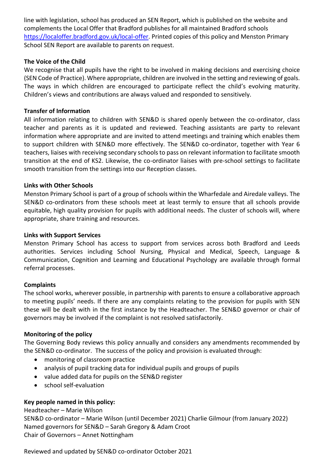line with legislation, school has produced an SEN Report, which is published on the website and complements the Local Offer that Bradford publishes for all maintained Bradford schools [https://localoffer.bradford.gov.uk/local-offer.](https://localoffer.bradford.gov.uk/local-offer) Printed copies of this policy and Menston Primary School SEN Report are available to parents on request.

## **The Voice of the Child**

We recognise that all pupils have the right to be involved in making decisions and exercising choice (SEN Code of Practice). Where appropriate, children are involved in the setting and reviewing of goals. The ways in which children are encouraged to participate reflect the child's evolving maturity. Children's views and contributions are always valued and responded to sensitively.

#### **Transfer of Information**

All information relating to children with SEN&D is shared openly between the co-ordinator, class teacher and parents as it is updated and reviewed. Teaching assistants are party to relevant information where appropriate and are invited to attend meetings and training which enables them to support children with SEN&D more effectively. The SEN&D co-ordinator, together with Year 6 teachers, liaises with receiving secondary schools to pass on relevant information to facilitate smooth transition at the end of KS2. Likewise, the co-ordinator liaises with pre-school settings to facilitate smooth transition from the settings into our Reception classes.

#### **Links with Other Schools**

Menston Primary School is part of a group of schools within the Wharfedale and Airedale valleys. The SEN&D co-ordinators from these schools meet at least termly to ensure that all schools provide equitable, high quality provision for pupils with additional needs. The cluster of schools will, where appropriate, share training and resources.

#### **Links with Support Services**

Menston Primary School has access to support from services across both Bradford and Leeds authorities. Services including School Nursing, Physical and Medical, Speech, Language & Communication, Cognition and Learning and Educational Psychology are available through formal referral processes.

#### **Complaints**

The school works, wherever possible, in partnership with parents to ensure a collaborative approach to meeting pupils' needs. If there are any complaints relating to the provision for pupils with SEN these will be dealt with in the first instance by the Headteacher. The SEN&D governor or chair of governors may be involved if the complaint is not resolved satisfactorily.

#### **Monitoring of the policy**

The Governing Body reviews this policy annually and considers any amendments recommended by the SEN&D co-ordinator. The success of the policy and provision is evaluated through:

- monitoring of classroom practice
- analysis of pupil tracking data for individual pupils and groups of pupils
- value added data for pupils on the SEN&D register
- school self-evaluation

#### **Key people named in this policy:**

Headteacher – Marie Wilson SEN&D co-ordinator – Marie Wilson (until December 2021) Charlie Gilmour (from January 2022) Named governors for SEN&D – Sarah Gregory & Adam Croot Chair of Governors – Annet Nottingham

Reviewed and updated by SEN&D co-ordinator October 2021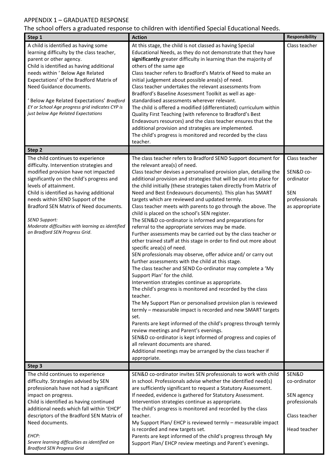# APPENDIX 1 – GRADUATED RESPONSE

The school offers a graduated response to children with identified Special Educational Needs.

| Step 1                                                                                                                                                                                                                                                                                                                                                                                                                              | <b>Action</b>                                                                                                                                                                                                                                                                                                                                                                                                                                                                                                                                                                                                                                                                                                                                                                                                                                                                                                                                                                                                                                                                                                                                                                                                                                                                                                                                                                                                                                                                                                                                                                                                                            | <b>Responsibility</b>                                                                    |
|-------------------------------------------------------------------------------------------------------------------------------------------------------------------------------------------------------------------------------------------------------------------------------------------------------------------------------------------------------------------------------------------------------------------------------------|------------------------------------------------------------------------------------------------------------------------------------------------------------------------------------------------------------------------------------------------------------------------------------------------------------------------------------------------------------------------------------------------------------------------------------------------------------------------------------------------------------------------------------------------------------------------------------------------------------------------------------------------------------------------------------------------------------------------------------------------------------------------------------------------------------------------------------------------------------------------------------------------------------------------------------------------------------------------------------------------------------------------------------------------------------------------------------------------------------------------------------------------------------------------------------------------------------------------------------------------------------------------------------------------------------------------------------------------------------------------------------------------------------------------------------------------------------------------------------------------------------------------------------------------------------------------------------------------------------------------------------------|------------------------------------------------------------------------------------------|
| A child is identified as having some<br>learning difficulty by the class teacher,<br>parent or other agency.<br>Child is identified as having additional<br>needs within ' Below Age Related<br>Expectations' of the Bradford Matrix of<br>Need Guidance documents.<br>Below Age Related Expectations' Bradford<br>EY or School Age progress grid indicates CYP is<br>just below Age Related Expectations                           | At this stage, the child is not classed as having Special<br>Educational Needs, as they do not demonstrate that they have<br>significantly greater difficulty in learning than the majority of<br>others of the same age<br>Class teacher refers to Bradford's Matrix of Need to make an<br>initial judgement about possible area(s) of need.<br>Class teacher undertakes the relevant assessments from<br>Bradford's Baseline Assessment Toolkit as well as age-<br>standardised assessments wherever relevant.<br>The child is offered a modified (differentiated) curriculum within<br>Quality First Teaching (with reference to Bradford's Best<br>Endeavours resources) and the class teacher ensures that the<br>additional provision and strategies are implemented.<br>The child's progress is monitored and recorded by the class                                                                                                                                                                                                                                                                                                                                                                                                                                                                                                                                                                                                                                                                                                                                                                                               | Class teacher                                                                            |
| Step 2                                                                                                                                                                                                                                                                                                                                                                                                                              | teacher.                                                                                                                                                                                                                                                                                                                                                                                                                                                                                                                                                                                                                                                                                                                                                                                                                                                                                                                                                                                                                                                                                                                                                                                                                                                                                                                                                                                                                                                                                                                                                                                                                                 |                                                                                          |
| The child continues to experience<br>difficulty. Intervention strategies and<br>modified provision have not impacted<br>significantly on the child's progress and<br>levels of attainment.<br>Child is identified as having additional<br>needs within SEND Support of the<br>Bradford SEN Matrix of Need documents.<br><b>SEND Support:</b><br>Moderate difficulties with learning as identified<br>on Bradford SEN Progress Grid. | The class teacher refers to Bradford SEND Support document for<br>the relevant area(s) of need.<br>Class teacher devises a personalised provision plan, detailing the<br>additional provision and strategies that will be put into place for<br>the child initially (these strategies taken directly from Matrix of<br>Need and Best Endeavours documents). This plan has SMART<br>targets which are reviewed and updated termly.<br>Class teacher meets with parents to go through the above. The<br>child is placed on the school's SEN register.<br>The SEN&D co-ordinator is informed and preparations for<br>referral to the appropriate services may be made.<br>Further assessments may be carried out by the class teacher or<br>other trained staff at this stage in order to find out more about<br>specific area(s) of need.<br>SEN professionals may observe, offer advice and/ or carry out<br>further assessments with the child at this stage.<br>The class teacher and SEND Co-ordinator may complete a 'My<br>Support Plan' for the child.<br>Intervention strategies continue as appropriate.<br>The child's progress is monitored and recorded by the class<br>teacher.<br>The My Support Plan or personalised provision plan is reviewed<br>termly - measurable impact is recorded and new SMART targets<br>set.<br>Parents are kept informed of the child's progress through termly<br>review meetings and Parent's evenings.<br>SEN&D co-ordinator is kept informed of progress and copies of<br>all relevant documents are shared.<br>Additional meetings may be arranged by the class teacher if<br>appropriate. | Class teacher<br>SEN&D co-<br>ordinator<br><b>SEN</b><br>professionals<br>as appropriate |
| Step 3                                                                                                                                                                                                                                                                                                                                                                                                                              |                                                                                                                                                                                                                                                                                                                                                                                                                                                                                                                                                                                                                                                                                                                                                                                                                                                                                                                                                                                                                                                                                                                                                                                                                                                                                                                                                                                                                                                                                                                                                                                                                                          |                                                                                          |
| The child continues to experience<br>difficulty. Strategies advised by SEN<br>professionals have not had a significant<br>impact on progress.<br>Child is identified as having continued<br>additional needs which fall within 'EHCP'<br>descriptors of the Bradford SEN Matrix of<br>Need documents.<br>EHCP:<br>Severe learning difficulties as identified on<br><b>Bradford SEN Progress Grid</b>                                | SEN&D co-ordinator invites SEN professionals to work with child<br>in school. Professionals advise whether the identified need(s)<br>are sufficiently significant to request a Statutory Assessment.<br>If needed, evidence is gathered for Statutory Assessment.<br>Intervention strategies continue as appropriate.<br>The child's progress is monitored and recorded by the class<br>teacher.<br>My Support Plan/ EHCP is reviewed termly - measurable impact<br>is recorded and new targets set.<br>Parents are kept informed of the child's progress through My<br>Support Plan/ EHCP review meetings and Parent's evenings.                                                                                                                                                                                                                                                                                                                                                                                                                                                                                                                                                                                                                                                                                                                                                                                                                                                                                                                                                                                                        | SEN&D<br>co-ordinator<br>SEN agency<br>professionals<br>Class teacher<br>Head teacher    |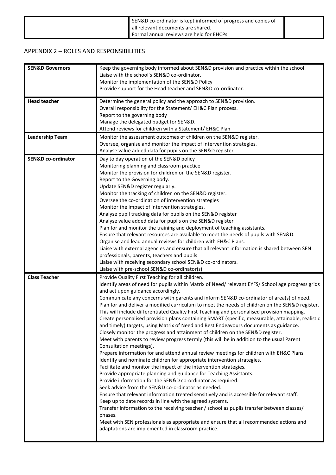| SEN&D co-ordinator is kept informed of progress and copies of<br>all relevant documents are shared. |  |
|-----------------------------------------------------------------------------------------------------|--|
| Formal annual reviews are held for EHCPs                                                            |  |

## APPENDIX 2 – ROLES AND RESPONSIBILITIES

| <b>SEN&amp;D Governors</b>    | Keep the governing body informed about SEN&D provision and practice within the school.                                                                         |
|-------------------------------|----------------------------------------------------------------------------------------------------------------------------------------------------------------|
|                               | Liaise with the school's SEN&D co-ordinator.                                                                                                                   |
|                               | Monitor the implementation of the SEN&D Policy                                                                                                                 |
|                               | Provide support for the Head teacher and SEN&D co-ordinator.                                                                                                   |
| <b>Head teacher</b>           | Determine the general policy and the approach to SEN&D provision.                                                                                              |
|                               | Overall responsibility for the Statement/ EH&C Plan process.                                                                                                   |
|                               | Report to the governing body                                                                                                                                   |
|                               | Manage the delegated budget for SEN&D.                                                                                                                         |
|                               | Attend reviews for children with a Statement/ EH&C Plan                                                                                                        |
| <b>Leadership Team</b>        | Monitor the assessment outcomes of children on the SEN&D register.                                                                                             |
|                               | Oversee, organise and monitor the impact of intervention strategies.                                                                                           |
|                               | Analyse value added data for pupils on the SEN&D register.                                                                                                     |
| <b>SEN&amp;D co-ordinator</b> | Day to day operation of the SEN&D policy                                                                                                                       |
|                               | Monitoring planning and classroom practice                                                                                                                     |
|                               | Monitor the provision for children on the SEN&D register.                                                                                                      |
|                               | Report to the Governing body.                                                                                                                                  |
|                               | Update SEN&D register regularly.                                                                                                                               |
|                               | Monitor the tracking of children on the SEN&D register.                                                                                                        |
|                               | Oversee the co-ordination of intervention strategies                                                                                                           |
|                               | Monitor the impact of intervention strategies.                                                                                                                 |
|                               | Analyse pupil tracking data for pupils on the SEN&D register                                                                                                   |
|                               | Analyse value added data for pupils on the SEN&D register                                                                                                      |
|                               | Plan for and monitor the training and deployment of teaching assistants.                                                                                       |
|                               | Ensure that relevant resources are available to meet the needs of pupils with SEN&D.                                                                           |
|                               | Organise and lead annual reviews for children with EH&C Plans.<br>Liaise with external agencies and ensure that all relevant information is shared between SEN |
|                               | professionals, parents, teachers and pupils                                                                                                                    |
|                               | Liaise with receiving secondary school SEN&D co-ordinators.                                                                                                    |
|                               | Liaise with pre-school SEN&D co-ordinator(s)                                                                                                                   |
| <b>Class Teacher</b>          | Provide Quality First Teaching for all children.                                                                                                               |
|                               | Identify areas of need for pupils within Matrix of Need/ relevant EYFS/ School age progress grids                                                              |
|                               | and act upon guidance accordingly.                                                                                                                             |
|                               | Communicate any concerns with parents and inform SEN&D co-ordinator of area(s) of need.                                                                        |
|                               | Plan for and deliver a modified curriculum to meet the needs of children on the SEN&D register.                                                                |
|                               | This will include differentiated Quality First Teaching and personalised provision mapping.                                                                    |
|                               | Create personalised provision plans containing SMART (specific, measurable, attainable, realistic                                                              |
|                               | and timely) targets, using Matrix of Need and Best Endeavours documents as guidance.                                                                           |
|                               | Closely monitor the progress and attainment of children on the SEN&D register.                                                                                 |
|                               | Meet with parents to review progress termly (this will be in addition to the usual Parent                                                                      |
|                               | Consultation meetings).                                                                                                                                        |
|                               | Prepare information for and attend annual review meetings for children with EH&C Plans.                                                                        |
|                               | Identify and nominate children for appropriate intervention strategies.                                                                                        |
|                               | Facilitate and monitor the impact of the intervention strategies.                                                                                              |
|                               | Provide appropriate planning and guidance for Teaching Assistants.                                                                                             |
|                               | Provide information for the SEN&D co-ordinator as required.                                                                                                    |
|                               | Seek advice from the SEN&D co-ordinator as needed.                                                                                                             |
|                               | Ensure that relevant information treated sensitively and is accessible for relevant staff.                                                                     |
|                               | Keep up to date records in line with the agreed systems.                                                                                                       |
|                               | Transfer information to the receiving teacher / school as pupils transfer between classes/                                                                     |
|                               | phases.                                                                                                                                                        |
|                               | Meet with SEN professionals as appropriate and ensure that all recommended actions and                                                                         |
|                               | adaptations are implemented in classroom practice.                                                                                                             |
|                               |                                                                                                                                                                |